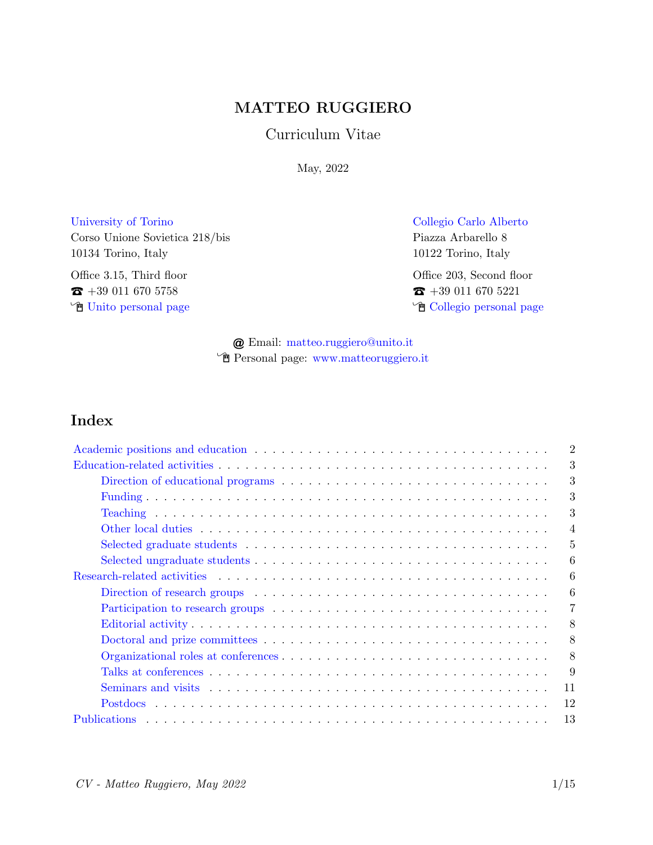# MATTEO RUGGIERO

### Curriculum Vitae

May, 2022

[University of Torino](http://www.unito.it) [Collegio Carlo Alberto](http://www.carloalberto.org) Corso Unione Sovietica 218/bis Piazza Arbarello 8 10134 Torino, Italy 10122 Torino, Italy

Office 3.15, Third floor Office 203, Second floor  $\bullet$  +39 011 670 5758  $\bullet$  +39 011 670 5221

 $\hat{\mathbb{F}}$  [Unito personal page](http://www.master-sds.unito.it/do/docenti.pl/Show?_id=mruggier#didattica)  $\hat{\mathbb{F}}$  [Collegio personal page](https://www.carloalberto.org/person/matteo-ruggiero/)

@ Email: [matteo.ruggiero@unito.it](mailto:matteo.ruggiero@unito.it) Í Personal page: [www.matteoruggiero.it](http://www.matteoruggiero.it)

# Index

| $\overline{2}$ |  |  |
|----------------|--|--|
|                |  |  |
| 3              |  |  |
| 3              |  |  |
| 3              |  |  |
| $\overline{4}$ |  |  |
| 5              |  |  |
| 6              |  |  |
|                |  |  |
| 6              |  |  |
| $\overline{7}$ |  |  |
| 8              |  |  |
| 8              |  |  |
| 8              |  |  |
| 9              |  |  |
| 11             |  |  |
| 12             |  |  |
| 13             |  |  |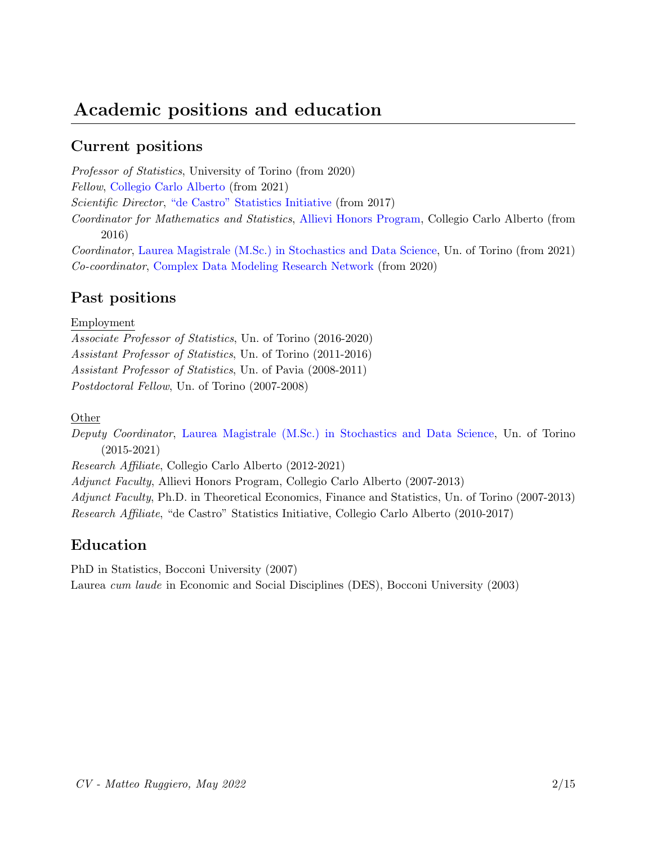# <span id="page-1-0"></span>Academic positions and education

# Current positions

Professor of Statistics, University of Torino (from 2020) Fellow, [Collegio Carlo Alberto](https://www.carloalberto.org/people/faculty/) (from 2021) Scientific Director, ["de Castro" Statistics Initiative](http://carloalberto.org/stats) (from 2017) Coordinator for Mathematics and Statistics, [Allievi Honors Program,](https://www.carloalberto.org/education/allievi-honors-program/) Collegio Carlo Alberto (from 2016) Coordinator, [Laurea Magistrale \(M.Sc.\) in Stochastics and Data Science,](http://www.master-sds.unito.it) Un. of Torino (from 2021)

Co-coordinator, [Complex Data Modeling Research Network](https://midas.mat.uc.cl/network/) (from 2020)

## Past positions

#### Employment

Associate Professor of Statistics, Un. of Torino (2016-2020) Assistant Professor of Statistics, Un. of Torino (2011-2016) Assistant Professor of Statistics, Un. of Pavia (2008-2011) Postdoctoral Fellow, Un. of Torino (2007-2008)

Other

Deputy Coordinator, [Laurea Magistrale \(M.Sc.\) in Stochastics and Data Science,](http://www.master-sds.unito.it) Un. of Torino (2015-2021)

Research Affiliate, Collegio Carlo Alberto (2012-2021)

Adjunct Faculty, Allievi Honors Program, Collegio Carlo Alberto (2007-2013)

Adjunct Faculty, Ph.D. in Theoretical Economics, Finance and Statistics, Un. of Torino (2007-2013) Research Affiliate, "de Castro" Statistics Initiative, Collegio Carlo Alberto (2010-2017)

# Education

PhD in Statistics, Bocconi University (2007) Laurea cum laude in Economic and Social Disciplines (DES), Bocconi University (2003)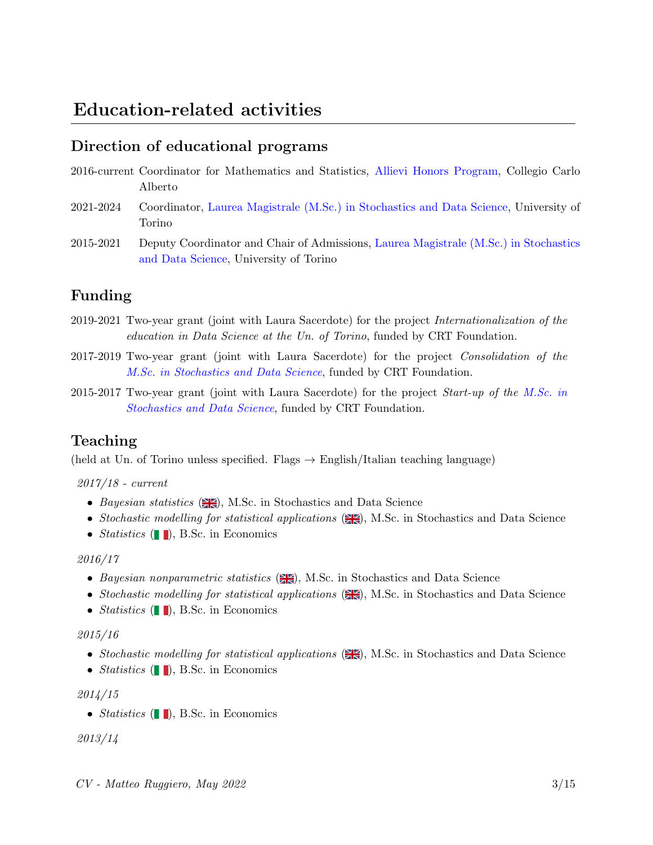# <span id="page-2-0"></span>Direction of educational programs

- <span id="page-2-1"></span>2016-current Coordinator for Mathematics and Statistics, [Allievi Honors Program,](https://www.carloalberto.org/education/allievi-honors-program/) Collegio Carlo Alberto
- 2021-2024 Coordinator, [Laurea Magistrale \(M.Sc.\) in Stochastics and Data Science,](http://www.master-sds.unito.it) University of Torino
- 2015-2021 Deputy Coordinator and Chair of Admissions, [Laurea Magistrale \(M.Sc.\) in Stochastics](http://www.master-sds.unito.it) [and Data Science,](http://www.master-sds.unito.it) University of Torino

# Funding

- 2019-2021 Two-year grant (joint with Laura Sacerdote) for the project Internationalization of the education in Data Science at the Un. of Torino, funded by CRT Foundation.
- 2017-2019 Two-year grant (joint with Laura Sacerdote) for the project Consolidation of the [M.Sc. in Stochastics and Data Science](http://www.master-sds.unito.it), funded by CRT Foundation.
- 2015-2017 Two-year grant (joint with Laura Sacerdote) for the project *Start-up of the M.Sc.* in [Stochastics and Data Science](http://www.master-sds.unito.it), funded by CRT Foundation.

## Teaching

(held at Un. of Torino unless specified. Flags  $\rightarrow$  English/Italian teaching language)

#### 2017/18 - current

- Bayesian statistics  $(\mathbf{X}, \mathbf{K})$ , M.Sc. in Stochastics and Data Science
- Stochastic modelling for statistical applications  $(\mathbb{H})$ , M.Sc. in Stochastics and Data Science
- Statistics  $(\blacksquare)$ , B.Sc. in Economics

#### 2016/17

- Bayesian nonparametric statistics  $(\mathbb{H})$ , M.Sc. in Stochastics and Data Science
- Stochastic modelling for statistical applications  $(\mathbb{H})$ , M.Sc. in Stochastics and Data Science
- Statistics  $(\blacksquare)$ , B.Sc. in Economics

#### 2015/16

- Stochastic modelling for statistical applications  $(\mathbb{H})$ , M.Sc. in Stochastics and Data Science
- Statistics  $(\blacksquare)$ , B.Sc. in Economics

#### 2014/15

• Statistics  $(\blacksquare)$ , B.Sc. in Economics

2013/14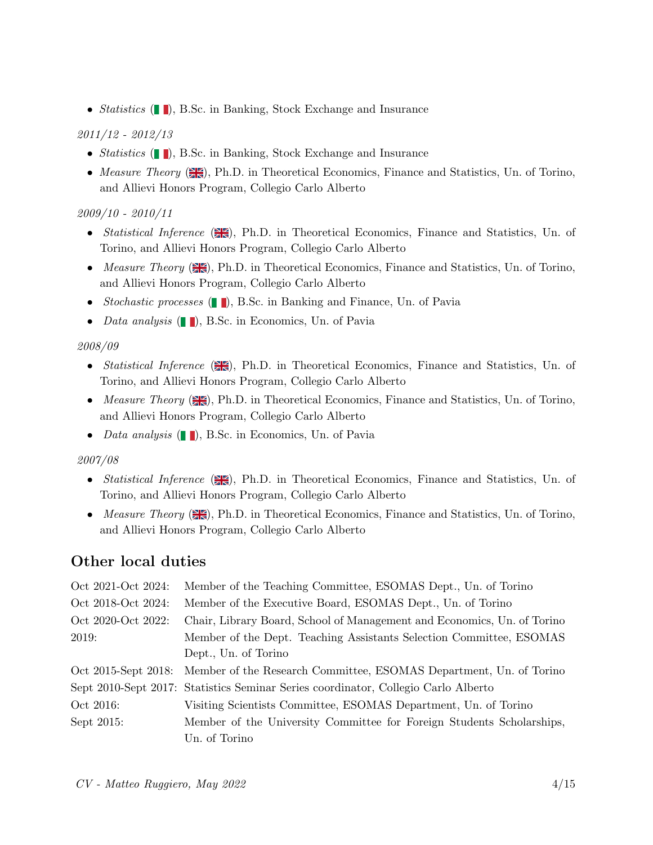• *Statistics* (**| |**), B.Sc. in Banking, Stock Exchange and Insurance

#### 2011/12 - 2012/13

- Statistics  $(\blacksquare)$ , B.Sc. in Banking, Stock Exchange and Insurance
- Measure Theory  $(\frac{\text{min}}{\text{min}})$ , Ph.D. in Theoretical Economics, Finance and Statistics, Un. of Torino, and Allievi Honors Program, Collegio Carlo Alberto

#### 2009/10 - 2010/11

- Statistical Inference  $(\mathbb{Z})$ , Ph.D. in Theoretical Economics, Finance and Statistics, Un. of Torino, and Allievi Honors Program, Collegio Carlo Alberto
- Measure Theory  $(\mathbb{H})$ , Ph.D. in Theoretical Economics, Finance and Statistics, Un. of Torino, and Allievi Honors Program, Collegio Carlo Alberto
- Stochastic processes  $(\blacksquare)$ , B.Sc. in Banking and Finance, Un. of Pavia
- Data analysis  $(\blacksquare)$ , B.Sc. in Economics, Un. of Pavia

#### 2008/09

- Statistical Inference  $(\mathbb{Z})$ , Ph.D. in Theoretical Economics, Finance and Statistics, Un. of Torino, and Allievi Honors Program, Collegio Carlo Alberto
- Measure Theory  $(\mathbb{H})$ , Ph.D. in Theoretical Economics, Finance and Statistics, Un. of Torino, and Allievi Honors Program, Collegio Carlo Alberto
- Data analysis  $(\blacksquare)$ , B.Sc. in Economics, Un. of Pavia

#### 2007/08

- Statistical Inference  $(\mathbb{R})$ , Ph.D. in Theoretical Economics, Finance and Statistics, Un. of Torino, and Allievi Honors Program, Collegio Carlo Alberto
- <span id="page-3-0"></span>• Measure Theory  $(\mathbb{H})$ , Ph.D. in Theoretical Economics, Finance and Statistics, Un. of Torino, and Allievi Honors Program, Collegio Carlo Alberto

# Other local duties

| Oct 2021-Oct 2024:  | Member of the Teaching Committee, ESOMAS Dept., Un. of Torino                      |
|---------------------|------------------------------------------------------------------------------------|
| Oct 2018-Oct 2024:  | Member of the Executive Board, ESOMAS Dept., Un. of Torino                         |
| Oct 2020-Oct 2022:  | Chair, Library Board, School of Management and Economics, Un. of Torino            |
| 2019:               | Member of the Dept. Teaching Assistants Selection Committee, ESOMAS                |
|                     | Dept., Un. of Torino                                                               |
| Oct 2015-Sept 2018: | Member of the Research Committee, ESOMAS Department, Un. of Torino                 |
|                     | Sept 2010-Sept 2017: Statistics Seminar Series coordinator, Collegio Carlo Alberto |
| Oct 2016:           | Visiting Scientists Committee, ESOMAS Department, Un. of Torino                    |
| Sept 2015:          | Member of the University Committee for Foreign Students Scholarships,              |
|                     | Un. of Torino                                                                      |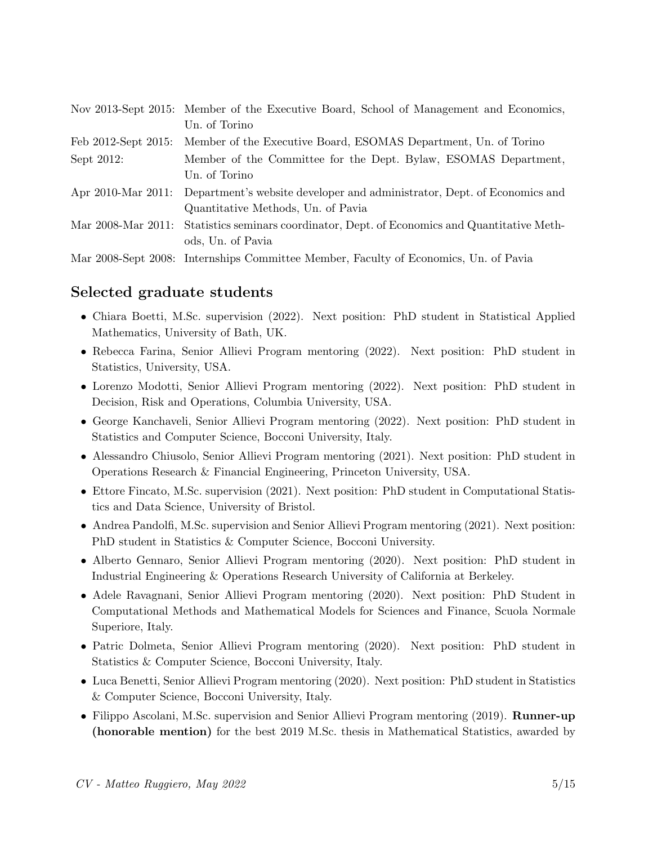|                     | Nov 2013-Sept 2015: Member of the Executive Board, School of Management and Economics,        |
|---------------------|-----------------------------------------------------------------------------------------------|
|                     | Un. of Torino                                                                                 |
| Feb 2012-Sept 2015: | Member of the Executive Board, ESOMAS Department, Un. of Torino                               |
| Sept 2012:          | Member of the Committee for the Dept. Bylaw, ESOMAS Department,                               |
|                     | Un. of Torino                                                                                 |
|                     | Apr 2010-Mar 2011: Department's website developer and administrator, Dept. of Economics and   |
|                     | Quantitative Methods, Un. of Pavia                                                            |
|                     | Mar 2008-Mar 2011: Statistics seminars coordinator, Dept. of Economics and Quantitative Meth- |
|                     | ods, Un. of Pavia                                                                             |
|                     | Mar 2008-Sept 2008: Internships Committee Member, Faculty of Economics, Un. of Pavia          |

# Selected graduate students

- Chiara Boetti, M.Sc. supervision (2022). Next position: PhD student in Statistical Applied Mathematics, University of Bath, UK.
- Rebecca Farina, Senior Allievi Program mentoring (2022). Next position: PhD student in Statistics, University, USA.
- Lorenzo Modotti, Senior Allievi Program mentoring (2022). Next position: PhD student in Decision, Risk and Operations, Columbia University, USA.
- George Kanchaveli, Senior Allievi Program mentoring (2022). Next position: PhD student in Statistics and Computer Science, Bocconi University, Italy.
- Alessandro Chiusolo, Senior Allievi Program mentoring (2021). Next position: PhD student in Operations Research & Financial Engineering, Princeton University, USA.
- Ettore Fincato, M.Sc. supervision (2021). Next position: PhD student in Computational Statistics and Data Science, University of Bristol.
- Andrea Pandolfi, M.Sc. supervision and Senior Allievi Program mentoring (2021). Next position: PhD student in Statistics & Computer Science, Bocconi University.
- Alberto Gennaro, Senior Allievi Program mentoring (2020). Next position: PhD student in Industrial Engineering & Operations Research University of California at Berkeley.
- Adele Ravagnani, Senior Allievi Program mentoring (2020). Next position: PhD Student in Computational Methods and Mathematical Models for Sciences and Finance, Scuola Normale Superiore, Italy.
- Patric Dolmeta, Senior Allievi Program mentoring (2020). Next position: PhD student in Statistics & Computer Science, Bocconi University, Italy.
- Luca Benetti, Senior Allievi Program mentoring (2020). Next position: PhD student in Statistics & Computer Science, Bocconi University, Italy.
- Filippo Ascolani, M.Sc. supervision and Senior Allievi Program mentoring (2019). **Runner-up** (honorable mention) for the best 2019 M.Sc. thesis in Mathematical Statistics, awarded by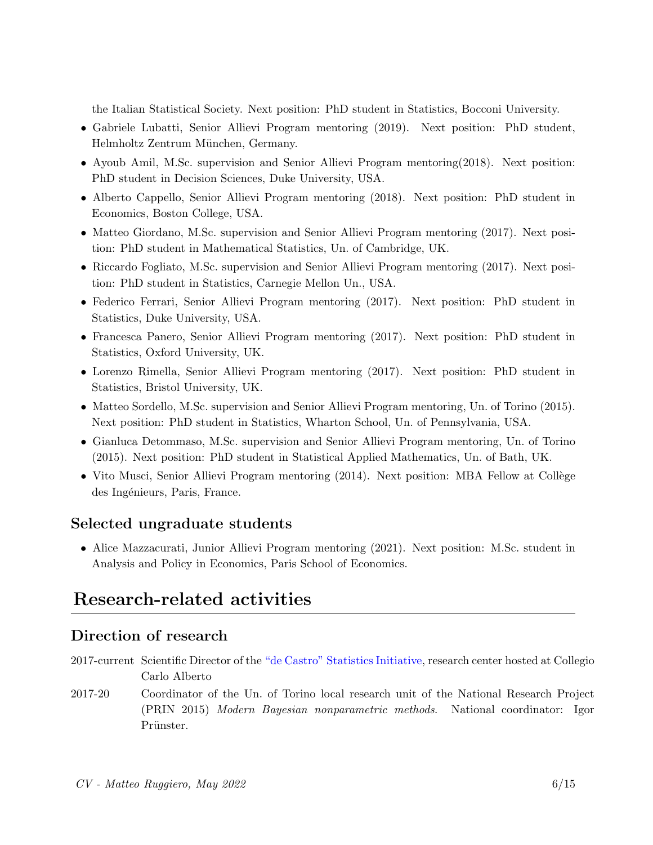the Italian Statistical Society. Next position: PhD student in Statistics, Bocconi University.

- Gabriele Lubatti, Senior Allievi Program mentoring (2019). Next position: PhD student, Helmholtz Zentrum München, Germany.
- Ayoub Amil, M.Sc. supervision and Senior Allievi Program mentoring(2018). Next position: PhD student in Decision Sciences, Duke University, USA.
- Alberto Cappello, Senior Allievi Program mentoring (2018). Next position: PhD student in Economics, Boston College, USA.
- Matteo Giordano, M.Sc. supervision and Senior Allievi Program mentoring (2017). Next position: PhD student in Mathematical Statistics, Un. of Cambridge, UK.
- Riccardo Fogliato, M.Sc. supervision and Senior Allievi Program mentoring (2017). Next position: PhD student in Statistics, Carnegie Mellon Un., USA.
- Federico Ferrari, Senior Allievi Program mentoring (2017). Next position: PhD student in Statistics, Duke University, USA.
- Francesca Panero, Senior Allievi Program mentoring (2017). Next position: PhD student in Statistics, Oxford University, UK.
- Lorenzo Rimella, Senior Allievi Program mentoring (2017). Next position: PhD student in Statistics, Bristol University, UK.
- Matteo Sordello, M.Sc. supervision and Senior Allievi Program mentoring, Un. of Torino (2015). Next position: PhD student in Statistics, Wharton School, Un. of Pennsylvania, USA.
- Gianluca Detommaso, M.Sc. supervision and Senior Allievi Program mentoring, Un. of Torino (2015). Next position: PhD student in Statistical Applied Mathematics, Un. of Bath, UK.
- <span id="page-5-0"></span>• Vito Musci, Senior Allievi Program mentoring (2014). Next position: MBA Fellow at Collège des Ingénieurs, Paris, France.

## Selected ungraduate students

• Alice Mazzacurati, Junior Allievi Program mentoring (2021). Next position: M.Sc. student in Analysis and Policy in Economics, Paris School of Economics.

# <span id="page-5-1"></span>Research-related activities

## Direction of research

- <span id="page-5-2"></span>2017-current Scientific Director of the ["de Castro" Statistics Initiative,](https://www.carloalberto.org/research/statistics-initiative/) research center hosted at Collegio Carlo Alberto
- 2017-20 Coordinator of the Un. of Torino local research unit of the National Research Project (PRIN 2015) Modern Bayesian nonparametric methods. National coordinator: Igor Prünster.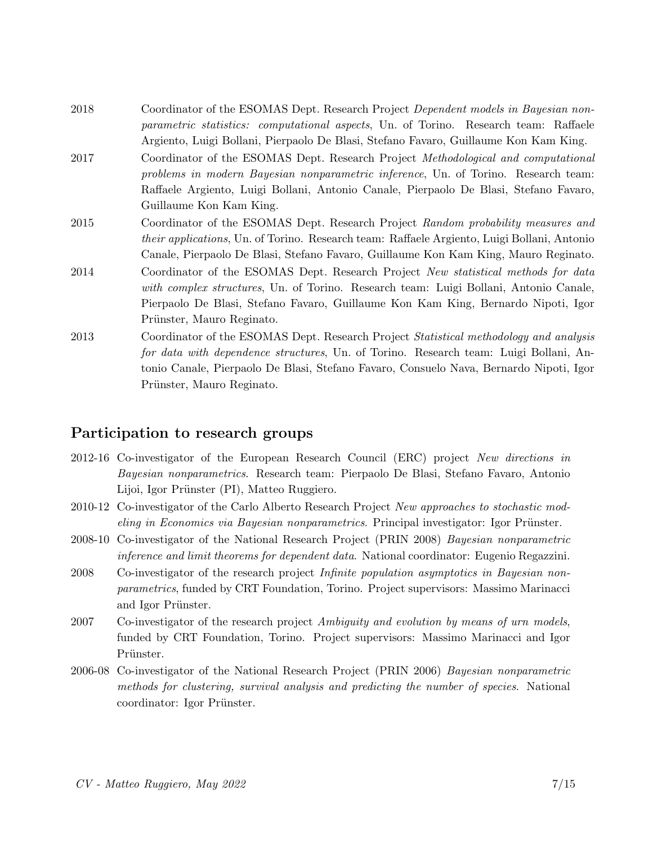- 2018 Coordinator of the ESOMAS Dept. Research Project *Dependent models in Bayesian non*parametric statistics: computational aspects, Un. of Torino. Research team: Raffaele Argiento, Luigi Bollani, Pierpaolo De Blasi, Stefano Favaro, Guillaume Kon Kam King.
- 2017 Coordinator of the ESOMAS Dept. Research Project Methodological and computational problems in modern Bayesian nonparametric inference, Un. of Torino. Research team: Raffaele Argiento, Luigi Bollani, Antonio Canale, Pierpaolo De Blasi, Stefano Favaro, Guillaume Kon Kam King.
- 2015 Coordinator of the ESOMAS Dept. Research Project Random probability measures and their applications, Un. of Torino. Research team: Raffaele Argiento, Luigi Bollani, Antonio Canale, Pierpaolo De Blasi, Stefano Favaro, Guillaume Kon Kam King, Mauro Reginato.
- 2014 Coordinator of the ESOMAS Dept. Research Project New statistical methods for data with complex structures, Un. of Torino. Research team: Luigi Bollani, Antonio Canale, Pierpaolo De Blasi, Stefano Favaro, Guillaume Kon Kam King, Bernardo Nipoti, Igor Prünster, Mauro Reginato.
- 2013 Coordinator of the ESOMAS Dept. Research Project *Statistical methodology and analysis* for data with dependence structures, Un. of Torino. Research team: Luigi Bollani, Antonio Canale, Pierpaolo De Blasi, Stefano Favaro, Consuelo Nava, Bernardo Nipoti, Igor Prünster, Mauro Reginato.

## Participation to research groups

- 2012-16 Co-investigator of the European Research Council (ERC) project New directions in Bayesian nonparametrics. Research team: Pierpaolo De Blasi, Stefano Favaro, Antonio Lijoi, Igor Prünster (PI), Matteo Ruggiero.
- 2010-12 Co-investigator of the Carlo Alberto Research Project New approaches to stochastic mod- $\mathit{eling}$  in Economics via Bayesian nonparametrics. Principal investigator: Igor Prünster.
- 2008-10 Co-investigator of the National Research Project (PRIN 2008) Bayesian nonparametric inference and limit theorems for dependent data. National coordinator: Eugenio Regazzini.
- 2008 Co-investigator of the research project Infinite population asymptotics in Bayesian nonparametrics, funded by CRT Foundation, Torino. Project supervisors: Massimo Marinacci and Igor Prünster.
- 2007 Co-investigator of the research project Ambiguity and evolution by means of urn models, funded by CRT Foundation, Torino. Project supervisors: Massimo Marinacci and Igor Prünster.
- 2006-08 Co-investigator of the National Research Project (PRIN 2006) Bayesian nonparametric methods for clustering, survival analysis and predicting the number of species. National coordinator: Igor Prünster.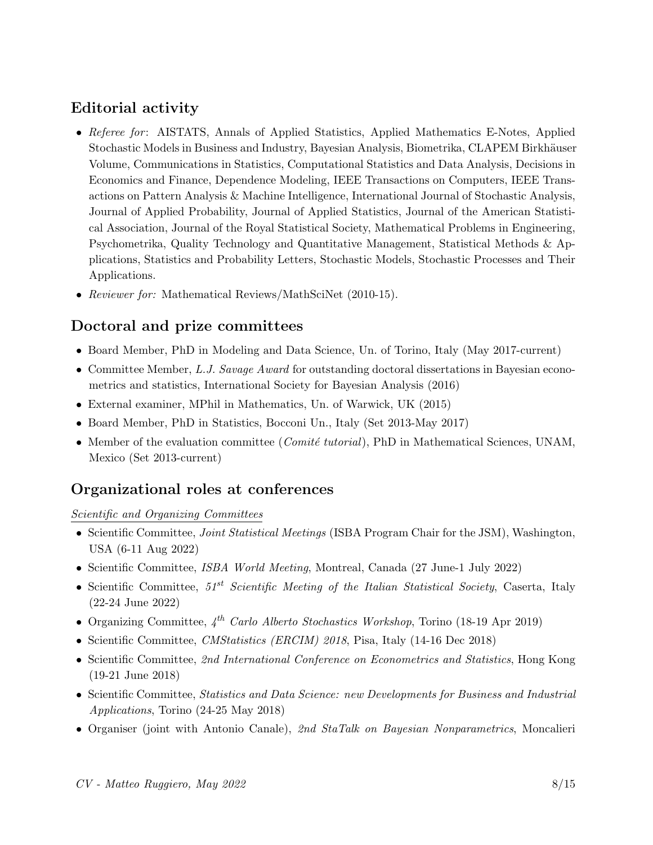# Editorial activity

- Referee for: AISTATS, Annals of Applied Statistics, Applied Mathematics E-Notes, Applied Stochastic Models in Business and Industry, Bayesian Analysis, Biometrika, CLAPEM Birkhäuser Volume, Communications in Statistics, Computational Statistics and Data Analysis, Decisions in Economics and Finance, Dependence Modeling, IEEE Transactions on Computers, IEEE Transactions on Pattern Analysis & Machine Intelligence, International Journal of Stochastic Analysis, Journal of Applied Probability, Journal of Applied Statistics, Journal of the American Statistical Association, Journal of the Royal Statistical Society, Mathematical Problems in Engineering, Psychometrika, Quality Technology and Quantitative Management, Statistical Methods & Applications, Statistics and Probability Letters, Stochastic Models, Stochastic Processes and Their Applications.
- <span id="page-7-0"></span>• Reviewer for: Mathematical Reviews/MathSciNet (2010-15).

# Doctoral and prize committees

- Board Member, PhD in Modeling and Data Science, Un. of Torino, Italy (May 2017-current)
- Committee Member, L.J. Savage Award for outstanding doctoral dissertations in Bayesian econometrics and statistics, International Society for Bayesian Analysis (2016)
- External examiner, MPhil in Mathematics, Un. of Warwick, UK (2015)
- Board Member, PhD in Statistics, Bocconi Un., Italy (Set 2013-May 2017)
- <span id="page-7-1"></span>• Member of the evaluation committee (*Comité tutorial*), PhD in Mathematical Sciences, UNAM, Mexico (Set 2013-current)

### Organizational roles at conferences

#### Scientific and Organizing Committees

- Scientific Committee, *Joint Statistical Meetings* (ISBA Program Chair for the JSM), Washington, USA (6-11 Aug 2022)
- Scientific Committee, *ISBA World Meeting*, Montreal, Canada (27 June-1 July 2022)
- Scientific Committee,  $51^{st}$  Scientific Meeting of the Italian Statistical Society, Caserta, Italy (22-24 June 2022)
- Organizing Committee,  $4^{th}$  Carlo Alberto Stochastics Workshop, Torino (18-19 Apr 2019)
- Scientific Committee, *CMStatistics (ERCIM)* 2018, Pisa, Italy (14-16 Dec 2018)
- Scientific Committee, 2nd International Conference on Econometrics and Statistics, Hong Kong (19-21 June 2018)
- Scientific Committee, Statistics and Data Science: new Developments for Business and Industrial Applications, Torino (24-25 May 2018)
- Organiser (joint with Antonio Canale), 2nd StaTalk on Bayesian Nonparametrics, Moncalieri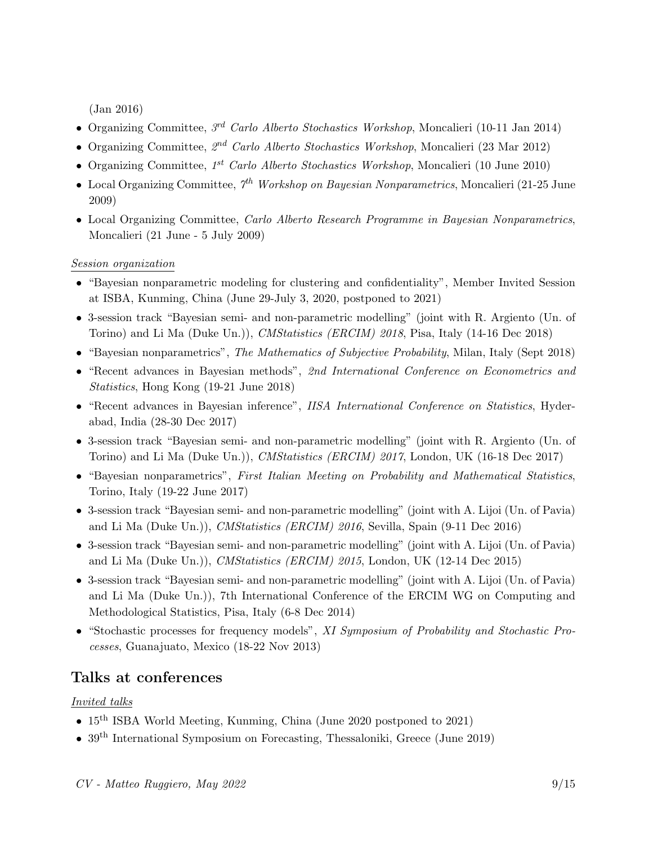(Jan 2016)

- Organizing Committee,  $3^{rd}$  Carlo Alberto Stochastics Workshop, Moncalieri (10-11 Jan 2014)
- Organizing Committee,  $2^{nd}$  Carlo Alberto Stochastics Workshop, Moncalieri (23 Mar 2012)
- Organizing Committee,  $1^{st}$  Carlo Alberto Stochastics Workshop, Moncalieri (10 June 2010)
- Local Organizing Committee,  $\gamma^{th}$  Workshop on Bayesian Nonparametrics, Moncalieri (21-25 June 2009)
- Local Organizing Committee, Carlo Alberto Research Programme in Bayesian Nonparametrics, Moncalieri (21 June - 5 July 2009)

#### Session organization

- "Bayesian nonparametric modeling for clustering and confidentiality", Member Invited Session at ISBA, Kunming, China (June 29-July 3, 2020, postponed to 2021)
- 3-session track "Bayesian semi- and non-parametric modelling" (joint with R. Argiento (Un. of Torino) and Li Ma (Duke Un.)), CMStatistics (ERCIM) 2018, Pisa, Italy (14-16 Dec 2018)
- "Bayesian nonparametrics", The Mathematics of Subjective Probability, Milan, Italy (Sept 2018)
- "Recent advances in Bayesian methods", 2nd International Conference on Econometrics and Statistics, Hong Kong (19-21 June 2018)
- "Recent advances in Bayesian inference", IISA International Conference on Statistics, Hyderabad, India (28-30 Dec 2017)
- 3-session track "Bayesian semi- and non-parametric modelling" (joint with R. Argiento (Un. of Torino) and Li Ma (Duke Un.)), CMStatistics (ERCIM) 2017, London, UK (16-18 Dec 2017)
- "Bayesian nonparametrics", First Italian Meeting on Probability and Mathematical Statistics, Torino, Italy (19-22 June 2017)
- 3-session track "Bayesian semi- and non-parametric modelling" (joint with A. Lijoi (Un. of Pavia) and Li Ma (Duke Un.)), CMStatistics (ERCIM) 2016, Sevilla, Spain (9-11 Dec 2016)
- 3-session track "Bayesian semi- and non-parametric modelling" (joint with A. Lijoi (Un. of Pavia) and Li Ma (Duke Un.)), CMStatistics (ERCIM) 2015, London, UK (12-14 Dec 2015)
- 3-session track "Bayesian semi- and non-parametric modelling" (joint with A. Lijoi (Un. of Pavia) and Li Ma (Duke Un.)), 7th International Conference of the ERCIM WG on Computing and Methodological Statistics, Pisa, Italy (6-8 Dec 2014)
- <span id="page-8-0"></span>• "Stochastic processes for frequency models", XI Symposium of Probability and Stochastic Processes, Guanajuato, Mexico (18-22 Nov 2013)

## Talks at conferences

#### Invited talks

- 15<sup>th</sup> ISBA World Meeting, Kunming, China (June 2020 postponed to 2021)
- 39<sup>th</sup> International Symposium on Forecasting, Thessaloniki, Greece (June 2019)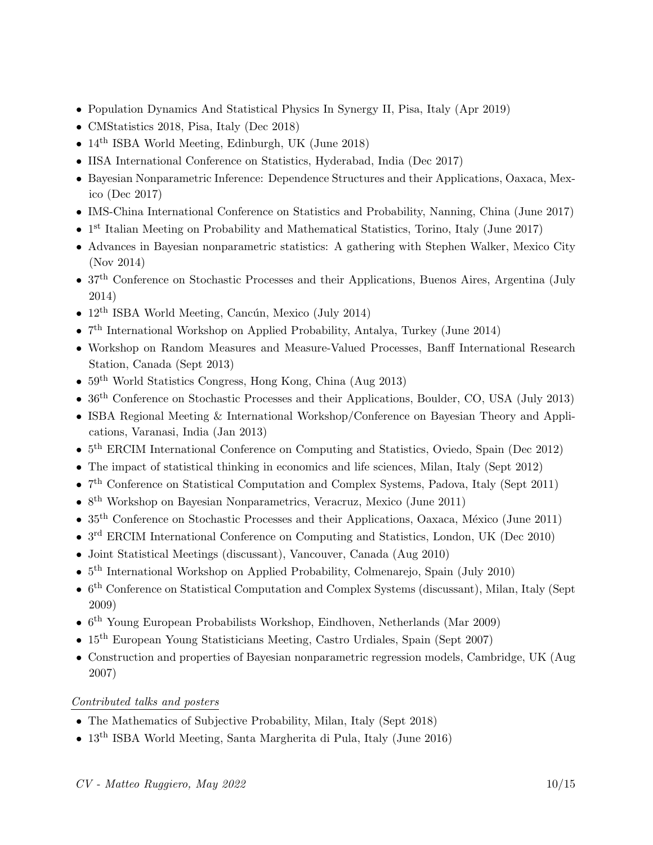- Population Dynamics And Statistical Physics In Synergy II, Pisa, Italy (Apr 2019)
- CMStatistics 2018, Pisa, Italy (Dec 2018)
- $14<sup>th</sup>$  ISBA World Meeting, Edinburgh, UK (June 2018)
- IISA International Conference on Statistics, Hyderabad, India (Dec 2017)
- Bayesian Nonparametric Inference: Dependence Structures and their Applications, Oaxaca, Mexico (Dec 2017)
- IMS-China International Conference on Statistics and Probability, Nanning, China (June 2017)
- 1<sup>st</sup> Italian Meeting on Probability and Mathematical Statistics, Torino, Italy (June 2017)
- Advances in Bayesian nonparametric statistics: A gathering with Stephen Walker, Mexico City (Nov 2014)
- 37<sup>th</sup> Conference on Stochastic Processes and their Applications, Buenos Aires, Argentina (July 2014)
- $12<sup>th</sup>$  ISBA World Meeting, Cancún, Mexico (July 2014)
- 7<sup>th</sup> International Workshop on Applied Probability, Antalya, Turkey (June 2014)
- Workshop on Random Measures and Measure-Valued Processes, Banff International Research Station, Canada (Sept 2013)
- 59<sup>th</sup> World Statistics Congress, Hong Kong, China (Aug 2013)
- $36<sup>th</sup>$  Conference on Stochastic Processes and their Applications, Boulder, CO, USA (July 2013)
- ISBA Regional Meeting & International Workshop/Conference on Bayesian Theory and Applications, Varanasi, India (Jan 2013)
- 5<sup>th</sup> ERCIM International Conference on Computing and Statistics, Oviedo, Spain (Dec 2012)
- The impact of statistical thinking in economics and life sciences, Milan, Italy (Sept 2012)
- 7<sup>th</sup> Conference on Statistical Computation and Complex Systems, Padova, Italy (Sept 2011)
- 8<sup>th</sup> Workshop on Bayesian Nonparametrics, Veracruz, Mexico (June 2011)
- $35<sup>th</sup>$  Conference on Stochastic Processes and their Applications, Oaxaca, México (June 2011)
- 3<sup>rd</sup> ERCIM International Conference on Computing and Statistics, London, UK (Dec 2010)
- Joint Statistical Meetings (discussant), Vancouver, Canada (Aug 2010)
- $5<sup>th</sup> International Workshop on Applied Probability, Colmenarejo, Spain (July 2010)$
- $\bullet$  6<sup>th</sup> Conference on Statistical Computation and Complex Systems (discussant), Milan, Italy (Sept 2009)
- $6<sup>th</sup>$  Young European Probabilists Workshop, Eindhoven, Netherlands (Mar 2009)
- 15<sup>th</sup> European Young Statisticians Meeting, Castro Urdiales, Spain (Sept 2007)
- Construction and properties of Bayesian nonparametric regression models, Cambridge, UK (Aug 2007)

### Contributed talks and posters

- The Mathematics of Subjective Probability, Milan, Italy (Sept 2018)
- 13<sup>th</sup> ISBA World Meeting, Santa Margherita di Pula, Italy (June 2016)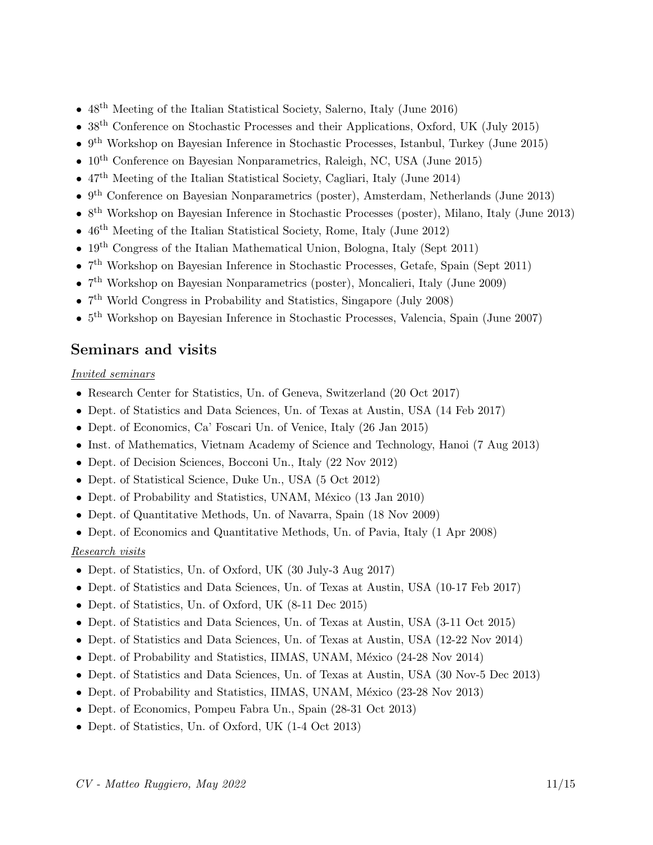- 48<sup>th</sup> Meeting of the Italian Statistical Society, Salerno, Italy (June 2016)
- 38<sup>th</sup> Conference on Stochastic Processes and their Applications, Oxford, UK (July 2015)
- 9<sup>th</sup> Workshop on Bayesian Inference in Stochastic Processes, Istanbul, Turkey (June 2015)
- $10^{\text{th}}$  Conference on Bayesian Nonparametrics, Raleigh, NC, USA (June 2015)
- $47<sup>th</sup>$  Meeting of the Italian Statistical Society, Cagliari, Italy (June 2014)
- 9<sup>th</sup> Conference on Bayesian Nonparametrics (poster), Amsterdam, Netherlands (June 2013)
- 8<sup>th</sup> Workshop on Bayesian Inference in Stochastic Processes (poster), Milano, Italy (June 2013)
- $46<sup>th</sup>$  Meeting of the Italian Statistical Society, Rome, Italy (June 2012)
- $19<sup>th</sup>$  Congress of the Italian Mathematical Union, Bologna, Italy (Sept 2011)
- 7<sup>th</sup> Workshop on Bayesian Inference in Stochastic Processes, Getafe, Spain (Sept 2011)
- 7<sup>th</sup> Workshop on Bayesian Nonparametrics (poster), Moncalieri, Italy (June 2009)
- 7<sup>th</sup> World Congress in Probability and Statistics, Singapore (July 2008)
- <span id="page-10-0"></span>•  $5<sup>th</sup>$  Workshop on Bayesian Inference in Stochastic Processes, Valencia, Spain (June 2007)

## Seminars and visits

#### Invited seminars

- Research Center for Statistics, Un. of Geneva, Switzerland (20 Oct 2017)
- Dept. of Statistics and Data Sciences, Un. of Texas at Austin, USA (14 Feb 2017)
- Dept. of Economics, Ca' Foscari Un. of Venice, Italy (26 Jan 2015)
- Inst. of Mathematics, Vietnam Academy of Science and Technology, Hanoi (7 Aug 2013)
- Dept. of Decision Sciences, Bocconi Un., Italy (22 Nov 2012)
- Dept. of Statistical Science, Duke Un., USA (5 Oct 2012)
- Dept. of Probability and Statistics, UNAM, México (13 Jan 2010)
- Dept. of Quantitative Methods, Un. of Navarra, Spain (18 Nov 2009)
- Dept. of Economics and Quantitative Methods, Un. of Pavia, Italy (1 Apr 2008)

#### Research visits

- Dept. of Statistics, Un. of Oxford, UK (30 July-3 Aug 2017)
- Dept. of Statistics and Data Sciences, Un. of Texas at Austin, USA (10-17 Feb 2017)
- Dept. of Statistics, Un. of Oxford, UK (8-11 Dec 2015)
- Dept. of Statistics and Data Sciences, Un. of Texas at Austin, USA (3-11 Oct 2015)
- Dept. of Statistics and Data Sciences, Un. of Texas at Austin, USA (12-22 Nov 2014)
- Dept. of Probability and Statistics, IIMAS, UNAM, México (24-28 Nov 2014)
- Dept. of Statistics and Data Sciences, Un. of Texas at Austin, USA (30 Nov-5 Dec 2013)
- Dept. of Probability and Statistics, IIMAS, UNAM, México (23-28 Nov 2013)
- Dept. of Economics, Pompeu Fabra Un., Spain (28-31 Oct 2013)
- Dept. of Statistics, Un. of Oxford, UK (1-4 Oct 2013)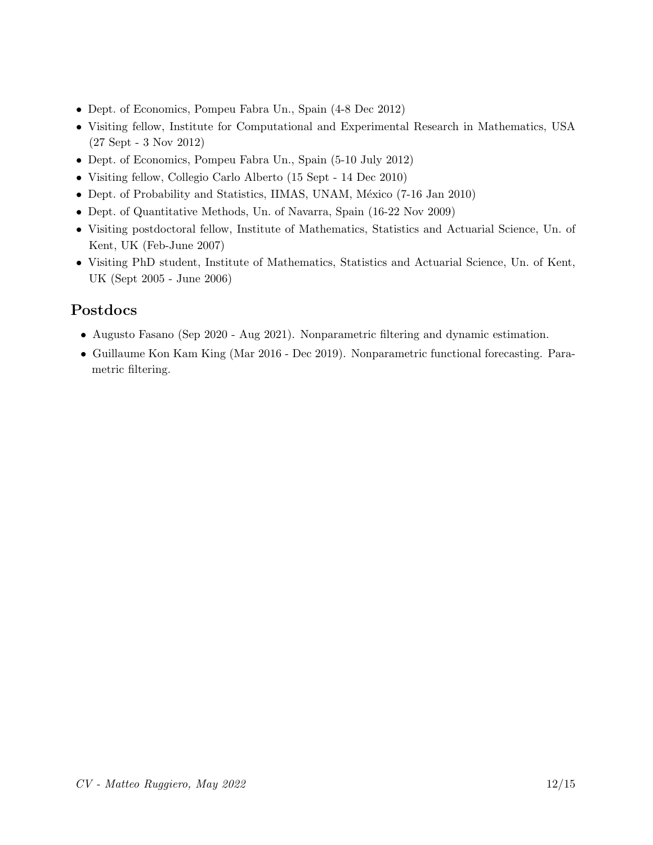- Dept. of Economics, Pompeu Fabra Un., Spain (4-8 Dec 2012)
- Visiting fellow, Institute for Computational and Experimental Research in Mathematics, USA (27 Sept - 3 Nov 2012)
- Dept. of Economics, Pompeu Fabra Un., Spain (5-10 July 2012)
- Visiting fellow, Collegio Carlo Alberto (15 Sept 14 Dec 2010)
- Dept. of Probability and Statistics, IIMAS, UNAM, México (7-16 Jan 2010)
- Dept. of Quantitative Methods, Un. of Navarra, Spain (16-22 Nov 2009)
- Visiting postdoctoral fellow, Institute of Mathematics, Statistics and Actuarial Science, Un. of Kent, UK (Feb-June 2007)
- <span id="page-11-0"></span>• Visiting PhD student, Institute of Mathematics, Statistics and Actuarial Science, Un. of Kent, UK (Sept 2005 - June 2006)

# Postdocs

- Augusto Fasano (Sep 2020 Aug 2021). Nonparametric filtering and dynamic estimation.
- Guillaume Kon Kam King (Mar 2016 Dec 2019). Nonparametric functional forecasting. Parametric filtering.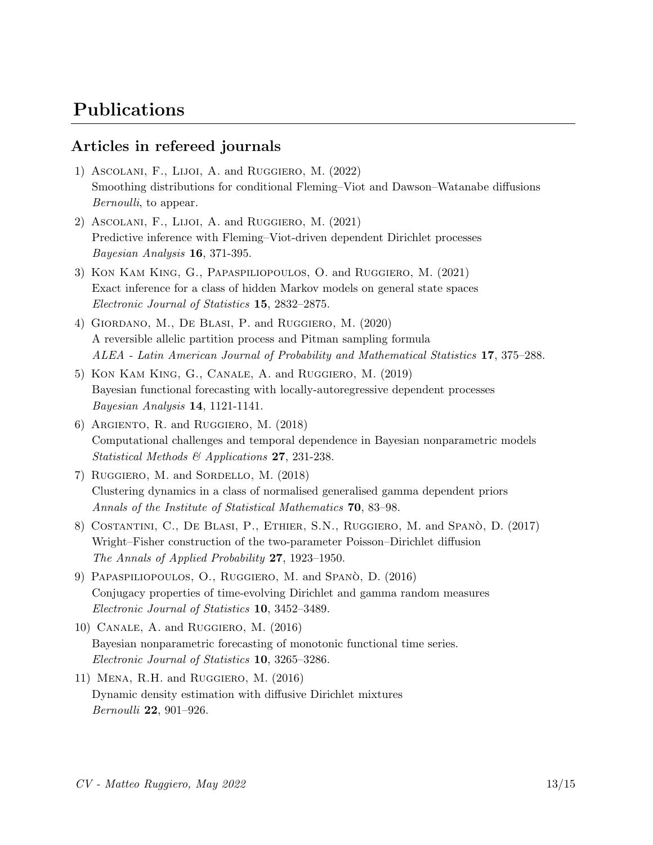# <span id="page-12-0"></span>Publications

## Articles in refereed journals

- 1) Ascolani, F., Lijoi, A. and Ruggiero, M. (2022) Smoothing distributions for conditional Fleming–Viot and Dawson–Watanabe diffusions Bernoulli, to appear.
- 2) Ascolani, F., Lijoi, A. and Ruggiero, M. (2021) Predictive inference with Fleming–Viot-driven dependent Dirichlet processes Bayesian Analysis 16, 371-395.
- 3) Kon Kam King, G., Papaspiliopoulos, O. and Ruggiero, M. (2021) Exact inference for a class of hidden Markov models on general state spaces Electronic Journal of Statistics 15, 2832–2875.
- 4) Giordano, M., De Blasi, P. and Ruggiero, M. (2020) A reversible allelic partition process and Pitman sampling formula ALEA - Latin American Journal of Probability and Mathematical Statistics 17, 375–288.
- 5) Kon Kam King, G., Canale, A. and Ruggiero, M. (2019) Bayesian functional forecasting with locally-autoregressive dependent processes Bayesian Analysis 14, 1121-1141.
- 6) Argiento, R. and Ruggiero, M. (2018) Computational challenges and temporal dependence in Bayesian nonparametric models Statistical Methods & Applications 27, 231-238.
- 7) Ruggiero, M. and Sordello, M. (2018) Clustering dynamics in a class of normalised generalised gamma dependent priors Annals of the Institute of Statistical Mathematics 70, 83–98.
- 8) COSTANTINI, C., DE BLASI, P., ETHIER, S.N., RUGGIERO, M. and SPANO, D. (2017) Wright–Fisher construction of the two-parameter Poisson–Dirichlet diffusion The Annals of Applied Probability 27, 1923–1950.
- 9) PAPASPILIOPOULOS, O., RUGGIERO, M. and SPANÒ, D. (2016) Conjugacy properties of time-evolving Dirichlet and gamma random measures Electronic Journal of Statistics 10, 3452–3489.
- 10) Canale, A. and Ruggiero, M. (2016) Bayesian nonparametric forecasting of monotonic functional time series. Electronic Journal of Statistics 10, 3265–3286.
- 11) Mena, R.H. and Ruggiero, M. (2016) Dynamic density estimation with diffusive Dirichlet mixtures Bernoulli 22, 901–926.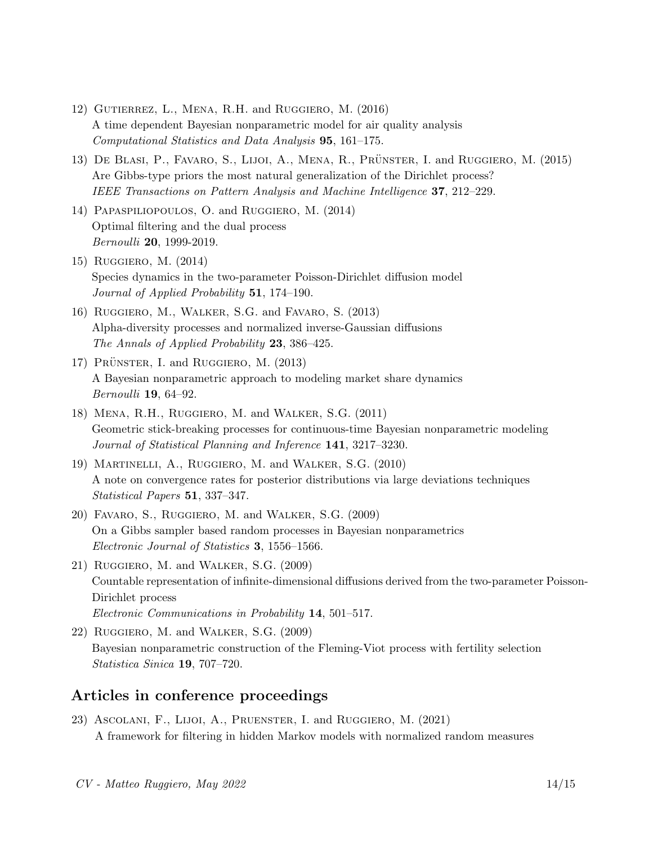- 12) Gutierrez, L., Mena, R.H. and Ruggiero, M. (2016) A time dependent Bayesian nonparametric model for air quality analysis Computational Statistics and Data Analysis 95, 161–175.
- 13) DE BLASI, P., FAVARO, S., LIJOI, A., MENA, R., PRÜNSTER, I. and RUGGIERO, M. (2015) Are Gibbs-type priors the most natural generalization of the Dirichlet process? IEEE Transactions on Pattern Analysis and Machine Intelligence 37, 212–229.
- 14) Papaspiliopoulos, O. and Ruggiero, M. (2014) Optimal filtering and the dual process Bernoulli 20, 1999-2019.
- 15) Ruggiero, M. (2014) Species dynamics in the two-parameter Poisson-Dirichlet diffusion model Journal of Applied Probability 51, 174–190.
- 16) Ruggiero, M., Walker, S.G. and Favaro, S. (2013) Alpha-diversity processes and normalized inverse-Gaussian diffusions The Annals of Applied Probability 23, 386–425.
- 17) PRÜNSTER, I. and RUGGIERO, M. (2013) A Bayesian nonparametric approach to modeling market share dynamics Bernoulli 19, 64–92.
- 18) Mena, R.H., Ruggiero, M. and Walker, S.G. (2011) Geometric stick-breaking processes for continuous-time Bayesian nonparametric modeling Journal of Statistical Planning and Inference 141, 3217–3230.
- 19) Martinelli, A., Ruggiero, M. and Walker, S.G. (2010) A note on convergence rates for posterior distributions via large deviations techniques Statistical Papers 51, 337–347.
- 20) Favaro, S., Ruggiero, M. and Walker, S.G. (2009) On a Gibbs sampler based random processes in Bayesian nonparametrics Electronic Journal of Statistics 3, 1556–1566.
- 21) Ruggiero, M. and Walker, S.G. (2009) Countable representation of infinite-dimensional diffusions derived from the two-parameter Poisson-Dirichlet process Electronic Communications in Probability 14, 501–517.
- 22) Ruggiero, M. and Walker, S.G. (2009) Bayesian nonparametric construction of the Fleming-Viot process with fertility selection Statistica Sinica 19, 707–720.

## Articles in conference proceedings

23) Ascolani, F., Lijoi, A., Pruenster, I. and Ruggiero, M. (2021) A framework for filtering in hidden Markov models with normalized random measures